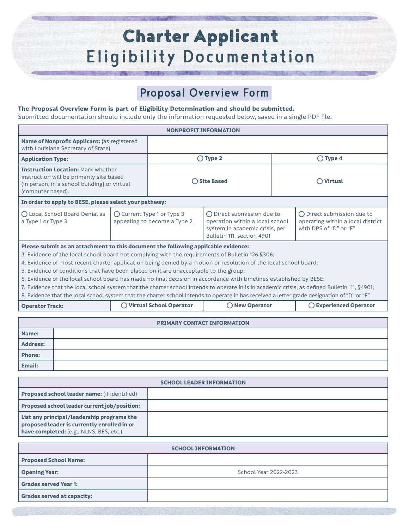# **Charter Applicant Eligibility Documentation**

### Proposal Overview Form

#### **The Proposal Overview Form is part of Eligibility Determination and should be submitted.**

Submitted documentation should include only the information requested below, saved in a single PDF file.

| Name of Nonprofit Applicant: (as registered<br>with Louisiana Secretary of State)                                                                                                                                                                                                                                                                                                                                                                                                                                                                                                                                                                                                                                                                                                                                         |  |  |  |  |  |  |
|---------------------------------------------------------------------------------------------------------------------------------------------------------------------------------------------------------------------------------------------------------------------------------------------------------------------------------------------------------------------------------------------------------------------------------------------------------------------------------------------------------------------------------------------------------------------------------------------------------------------------------------------------------------------------------------------------------------------------------------------------------------------------------------------------------------------------|--|--|--|--|--|--|
|                                                                                                                                                                                                                                                                                                                                                                                                                                                                                                                                                                                                                                                                                                                                                                                                                           |  |  |  |  |  |  |
| $\bigcirc$ Type 2<br>$\bigcirc$ Type 4<br><b>Application Type:</b>                                                                                                                                                                                                                                                                                                                                                                                                                                                                                                                                                                                                                                                                                                                                                        |  |  |  |  |  |  |
| <b>Instruction Location: Mark whether</b><br>instruction will be primarily site based<br>◯ Site Based<br>$\bigcap$ Virtual<br>(in person, in a school building) or virtual<br>(computer based).                                                                                                                                                                                                                                                                                                                                                                                                                                                                                                                                                                                                                           |  |  |  |  |  |  |
| In order to apply to BESE, please select your pathway:                                                                                                                                                                                                                                                                                                                                                                                                                                                                                                                                                                                                                                                                                                                                                                    |  |  |  |  |  |  |
| O Local School Board Denial as<br>◯ Current Type 1 or Type 3<br>(C) Direct submission due to<br>(C) Direct submission due to<br>appealing to become a Type 2<br>a Type 1 or Type 3<br>operation within a local school<br>operating within a local district<br>with DPS of "D" or "F"<br>system in academic crisis, per<br>Bulletin 111, section 4901                                                                                                                                                                                                                                                                                                                                                                                                                                                                      |  |  |  |  |  |  |
| Please submit as an attachment to this document the following applicable evidence:<br>3. Evidence of the local school board not complying with the requirements of Bulletin 126 §306;<br>4. Evidence of most recent charter application being denied by a motion or resolution of the local school board;<br>5. Evidence of conditions that have been placed on it are unacceptable to the group;<br>6. Evidence of the local school board has made no final decision in accordance with timelines established by BESE;<br>7. Evidence that the local school system that the charter school intends to operate in is in academic crisis, as defined Bulletin 111, §4901;<br>8. Evidence that the local school system that the charter school intends to operate in has received a letter grade designation of "D" or "F". |  |  |  |  |  |  |
| ◯ Virtual School Operator<br>◯ New Operator<br>◯ Experienced Operator<br><b>Operator Track:</b>                                                                                                                                                                                                                                                                                                                                                                                                                                                                                                                                                                                                                                                                                                                           |  |  |  |  |  |  |
| <b>PRIMARY CONTACT INFORMATION</b><br>Name:                                                                                                                                                                                                                                                                                                                                                                                                                                                                                                                                                                                                                                                                                                                                                                               |  |  |  |  |  |  |

| Address:      |  |
|---------------|--|
| Phone:        |  |
| <b>Email:</b> |  |

| <b>SCHOOL LEADER INFORMATION</b>                                                                                                     |  |  |  |  |
|--------------------------------------------------------------------------------------------------------------------------------------|--|--|--|--|
| <b>Proposed school leader name:</b> (if identified)                                                                                  |  |  |  |  |
| <b>Proposed school leader current job/position:</b>                                                                                  |  |  |  |  |
| List any principal/leadership programs the<br>proposed leader is currently enrolled in or<br>have completed: (e.g., NLNS, BES, etc.) |  |  |  |  |

| <b>SCHOOL INFORMATION</b>         |                       |  |  |  |
|-----------------------------------|-----------------------|--|--|--|
| <b>Proposed School Name:</b>      |                       |  |  |  |
| <b>Opening Year:</b>              | School Year 2022-2023 |  |  |  |
| <b>Grades served Year 1:</b>      |                       |  |  |  |
| <b>Grades served at capacity:</b> |                       |  |  |  |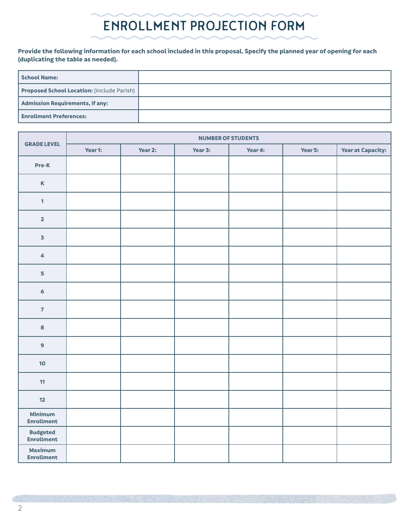## ENROLLMENT PROJECTION FORM

#### **Provide the following information for each school included in this proposal. Specify the planned year of opening for each (duplicating the table as needed).**

| School Name:                                      |  |
|---------------------------------------------------|--|
| <b>Proposed School Location:</b> (include Parish) |  |
| Admission Requirements, if any:                   |  |
| <b>Enrollment Preferences:</b>                    |  |

|                                      | <b>NUMBER OF STUDENTS</b> |         |         |         |         |                          |  |
|--------------------------------------|---------------------------|---------|---------|---------|---------|--------------------------|--|
| <b>GRADE LEVEL</b>                   | Year 1:                   | Year 2: | Year 3: | Year 4: | Year 5: | <b>Year at Capacity:</b> |  |
| Pre-K                                |                           |         |         |         |         |                          |  |
| $\mathbf K$                          |                           |         |         |         |         |                          |  |
| $\mathbf{1}$                         |                           |         |         |         |         |                          |  |
| $\overline{\mathbf{2}}$              |                           |         |         |         |         |                          |  |
| $\overline{\mathbf{3}}$              |                           |         |         |         |         |                          |  |
| $\overline{\mathbf{4}}$              |                           |         |         |         |         |                          |  |
| 5                                    |                           |         |         |         |         |                          |  |
| $\epsilon$                           |                           |         |         |         |         |                          |  |
| $\overline{7}$                       |                           |         |         |         |         |                          |  |
| 8                                    |                           |         |         |         |         |                          |  |
| 9                                    |                           |         |         |         |         |                          |  |
| 10                                   |                           |         |         |         |         |                          |  |
| 11                                   |                           |         |         |         |         |                          |  |
| 12                                   |                           |         |         |         |         |                          |  |
| <b>Minimum</b><br><b>Enrollment</b>  |                           |         |         |         |         |                          |  |
| <b>Budgeted</b><br><b>Enrollment</b> |                           |         |         |         |         |                          |  |
| <b>Maximum</b><br><b>Enrollment</b>  |                           |         |         |         |         |                          |  |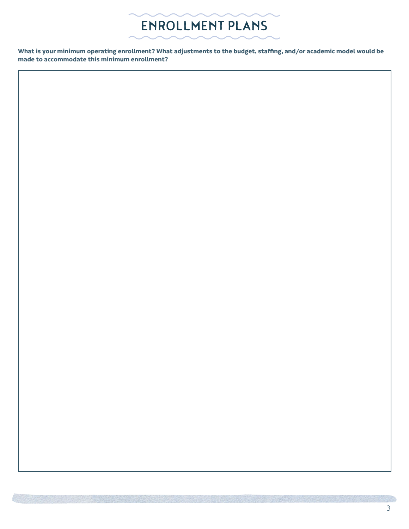

**What is your minimum operating enrollment? What adjustments to the budget, staffing, and/or academic model would be made to accommodate this minimum enrollment?**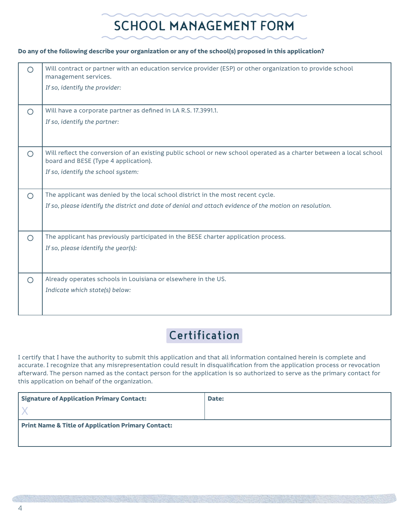## SCHOOL MANAGEMENT FORM

#### **Do any of the following describe your organization or any of the school(s) proposed in this application?**

| ◯          | Will contract or partner with an education service provider (ESP) or other organization to provide school<br>management services.                           |
|------------|-------------------------------------------------------------------------------------------------------------------------------------------------------------|
|            | If so, identify the provider:                                                                                                                               |
| $\circ$    | Will have a corporate partner as defined in LA R.S. 17.3991.1.                                                                                              |
|            | If so, identify the partner:                                                                                                                                |
| $\bigcirc$ | Will reflect the conversion of an existing public school or new school operated as a charter between a local school<br>board and BESE (Type 4 application). |
|            | If so, identify the school system:                                                                                                                          |
| $\circ$    | The applicant was denied by the local school district in the most recent cycle.                                                                             |
|            | If so, please identify the district and date of denial and attach evidence of the motion on resolution.                                                     |
| $\circ$    | The applicant has previously participated in the BESE charter application process.                                                                          |
|            | If so, please identify the year(s):                                                                                                                         |
| $\circ$    | Already operates schools in Louisiana or elsewhere in the US.                                                                                               |
|            | Indicate which state(s) below:                                                                                                                              |

### **Certification**

I certify that I have the authority to submit this application and that all information contained herein is complete and accurate. I recognize that any misrepresentation could result in disqualification from the application process or revocation afterward. The person named as the contact person for the application is so authorized to serve as the primary contact for this application on behalf of the organization.

| <b>Signature of Application Primary Contact:</b>              | Date: |  |  |  |  |
|---------------------------------------------------------------|-------|--|--|--|--|
|                                                               |       |  |  |  |  |
| <b>Print Name &amp; Title of Application Primary Contact:</b> |       |  |  |  |  |
|                                                               |       |  |  |  |  |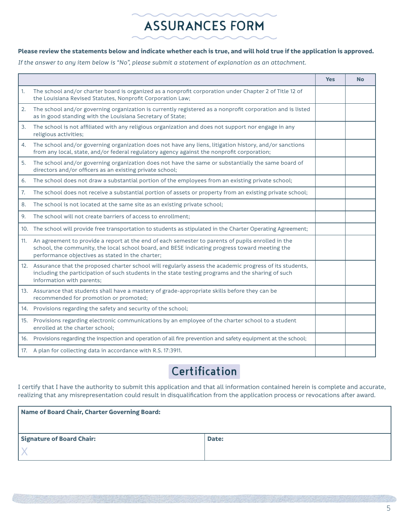## ASSURANCES FORM

#### **Please review the statements below and indicate whether each is true, and will hold true if the application is approved.**

*If the answer to any item below is "No", please submit a statement of explanation as an attachment.*

|     |                                                                                                                                                                                                                                                         | <b>Yes</b> | <b>No</b> |
|-----|---------------------------------------------------------------------------------------------------------------------------------------------------------------------------------------------------------------------------------------------------------|------------|-----------|
| 1.  | The school and/or charter board is organized as a nonprofit corporation under Chapter 2 of Title 12 of<br>the Louisiana Revised Statutes, Nonprofit Corporation Law;                                                                                    |            |           |
| 2.  | The school and/or governing organization is currently registered as a nonprofit corporation and is listed<br>as in good standing with the Louisiana Secretary of State;                                                                                 |            |           |
| 3.  | The school is not affiliated with any religious organization and does not support nor engage in any<br>religious activities;                                                                                                                            |            |           |
| 4.  | The school and/or governing organization does not have any liens, litigation history, and/or sanctions<br>from any local, state, and/or federal regulatory agency against the nonprofit corporation;                                                    |            |           |
| 5.  | The school and/or governing organization does not have the same or substantially the same board of<br>directors and/or officers as an existing private school;                                                                                          |            |           |
| 6.  | The school does not draw a substantial portion of the employees from an existing private school;                                                                                                                                                        |            |           |
| 7.  | The school does not receive a substantial portion of assets or property from an existing private school;                                                                                                                                                |            |           |
| 8.  | The school is not located at the same site as an existing private school;                                                                                                                                                                               |            |           |
| 9.  | The school will not create barriers of access to enrollment:                                                                                                                                                                                            |            |           |
|     | 10. The school will provide free transportation to students as stipulated in the Charter Operating Agreement;                                                                                                                                           |            |           |
| 11. | An agreement to provide a report at the end of each semester to parents of pupils enrolled in the<br>school, the community, the local school board, and BESE indicating progress toward meeting the<br>performance objectives as stated in the charter; |            |           |
|     | 12. Assurance that the proposed charter school will regularly assess the academic progress of its students,<br>including the participation of such students in the state testing programs and the sharing of such<br>information with parents;          |            |           |
|     | 13. Assurance that students shall have a mastery of grade-appropriate skills before they can be<br>recommended for promotion or promoted;                                                                                                               |            |           |
|     | 14. Provisions regarding the safety and security of the school;                                                                                                                                                                                         |            |           |
|     | 15. Provisions regarding electronic communications by an employee of the charter school to a student<br>enrolled at the charter school;                                                                                                                 |            |           |
|     | 16. Provisions regarding the inspection and operation of all fire prevention and safety equipment at the school;                                                                                                                                        |            |           |
|     | 17. A plan for collecting data in accordance with R.S. 17:3911.                                                                                                                                                                                         |            |           |

### **Certification**

I certify that I have the authority to submit this application and that all information contained herein is complete and accurate, realizing that any misrepresentation could result in disqualification from the application process or revocations after award.

| Name of Board Chair, Charter Governing Board: |       |  |  |  |
|-----------------------------------------------|-------|--|--|--|
|                                               |       |  |  |  |
| <b>Signature of Board Chair:</b>              | Date: |  |  |  |
|                                               |       |  |  |  |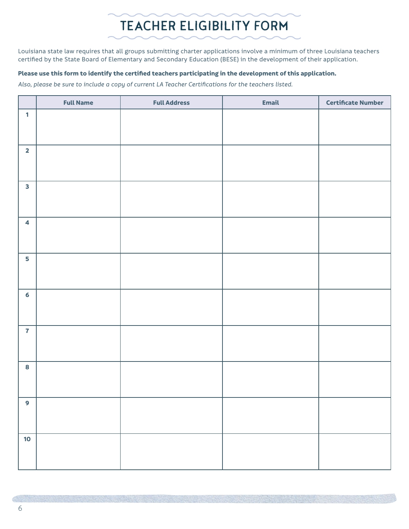## TEACHER ELIGIBILITY FORM

Louisiana state law requires that all groups submitting charter applications involve a minimum of three Louisiana teachers certified by the State Board of Elementary and Secondary Education (BESE) in the development of their application.

### **Please use this form to identify the certified teachers participating in the development of this application.**

*Also, please be sure to include a copy of current LA Teacher Certifications for the teachers listed.*

|                         | <b>Full Name</b> | <b>Full Address</b> | <b>Email</b> | <b>Certificate Number</b> |
|-------------------------|------------------|---------------------|--------------|---------------------------|
| $\mathbf{1}$            |                  |                     |              |                           |
|                         |                  |                     |              |                           |
| $\overline{\mathbf{2}}$ |                  |                     |              |                           |
|                         |                  |                     |              |                           |
|                         |                  |                     |              |                           |
| $\mathbf{3}$            |                  |                     |              |                           |
|                         |                  |                     |              |                           |
|                         |                  |                     |              |                           |
| $\overline{\mathbf{4}}$ |                  |                     |              |                           |
|                         |                  |                     |              |                           |
| 5                       |                  |                     |              |                           |
|                         |                  |                     |              |                           |
|                         |                  |                     |              |                           |
| $6\phantom{a}$          |                  |                     |              |                           |
|                         |                  |                     |              |                           |
| $\overline{7}$          |                  |                     |              |                           |
|                         |                  |                     |              |                           |
|                         |                  |                     |              |                           |
| 8                       |                  |                     |              |                           |
|                         |                  |                     |              |                           |
| 9                       |                  |                     |              |                           |
|                         |                  |                     |              |                           |
|                         |                  |                     |              |                           |
| 10                      |                  |                     |              |                           |
|                         |                  |                     |              |                           |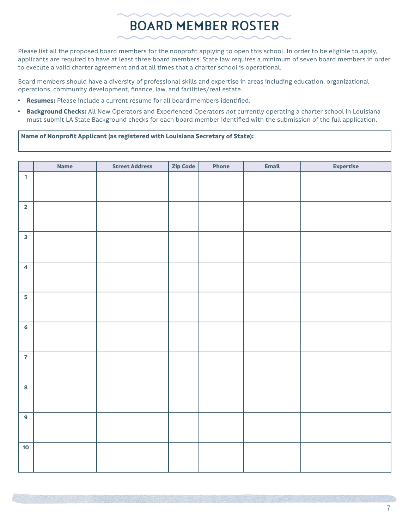## BOARD MEMBER ROSTER

Please list all the proposed board members for the nonprofit applying to open this school. In order to be eligible to apply, applicants are required to have at least three board members. State law requires a minimum of seven board members in order to execute a valid charter agreement and at all times that a charter school is operational.

Board members should have a diversity of professional skills and expertise in areas including education, organizational operations, community development, finance, law, and facilities/real estate.

- **Resumes:** Please include a current resume for all board members identified.
- **Background Checks:** All New Operators and Experienced Operators *not* currently operating a charter school in Louisiana must submit LA State Background checks for each board member identified with the submission of the full application.

#### **Name of Nonprofit Applicant (as registered with Louisiana Secretary of State):**

|                         | <b>Name</b> | <b>Street Address</b> | Zip Code | Phone | <b>Email</b> | <b>Expertise</b> |
|-------------------------|-------------|-----------------------|----------|-------|--------------|------------------|
| $\mathbf{1}$            |             |                       |          |       |              |                  |
|                         |             |                       |          |       |              |                  |
| $\overline{\mathbf{2}}$ |             |                       |          |       |              |                  |
|                         |             |                       |          |       |              |                  |
| $\overline{\mathbf{3}}$ |             |                       |          |       |              |                  |
|                         |             |                       |          |       |              |                  |
| $\overline{\mathbf{4}}$ |             |                       |          |       |              |                  |
|                         |             |                       |          |       |              |                  |
| 5                       |             |                       |          |       |              |                  |
|                         |             |                       |          |       |              |                  |
| $6\overline{6}$         |             |                       |          |       |              |                  |
|                         |             |                       |          |       |              |                  |
| $\overline{7}$          |             |                       |          |       |              |                  |
|                         |             |                       |          |       |              |                  |
| 8                       |             |                       |          |       |              |                  |
|                         |             |                       |          |       |              |                  |
| $\overline{9}$          |             |                       |          |       |              |                  |
|                         |             |                       |          |       |              |                  |
| 10 <sub>o</sub>         |             |                       |          |       |              |                  |
|                         |             |                       |          |       |              |                  |